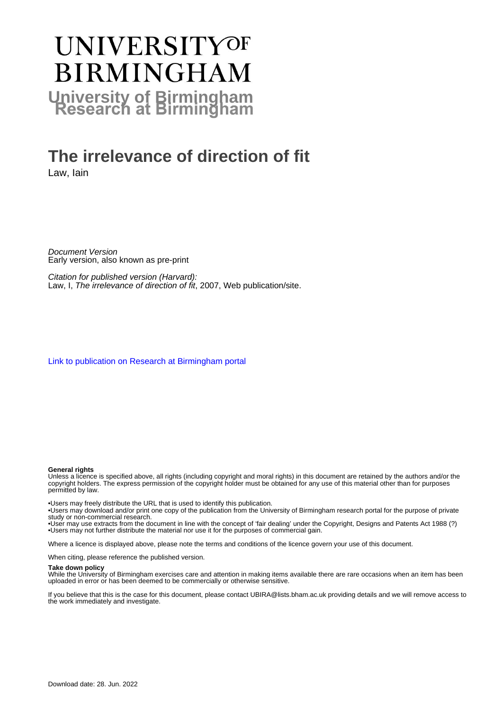# **UNIVERSITYOF BIRMINGHAM University of Birmingham**

## **The irrelevance of direction of fit**

Law, Iain

Document Version Early version, also known as pre-print

Citation for published version (Harvard): Law, I, The irrelevance of direction of fit, 2007, Web publication/site.

[Link to publication on Research at Birmingham portal](https://birmingham.elsevierpure.com/en/publications/97264329-1c99-46a9-92da-13e6357cdcc6)

#### **General rights**

Unless a licence is specified above, all rights (including copyright and moral rights) in this document are retained by the authors and/or the copyright holders. The express permission of the copyright holder must be obtained for any use of this material other than for purposes permitted by law.

• Users may freely distribute the URL that is used to identify this publication.

• Users may download and/or print one copy of the publication from the University of Birmingham research portal for the purpose of private study or non-commercial research.

• User may use extracts from the document in line with the concept of 'fair dealing' under the Copyright, Designs and Patents Act 1988 (?) • Users may not further distribute the material nor use it for the purposes of commercial gain.

Where a licence is displayed above, please note the terms and conditions of the licence govern your use of this document.

When citing, please reference the published version.

#### **Take down policy**

While the University of Birmingham exercises care and attention in making items available there are rare occasions when an item has been uploaded in error or has been deemed to be commercially or otherwise sensitive.

If you believe that this is the case for this document, please contact UBIRA@lists.bham.ac.uk providing details and we will remove access to the work immediately and investigate.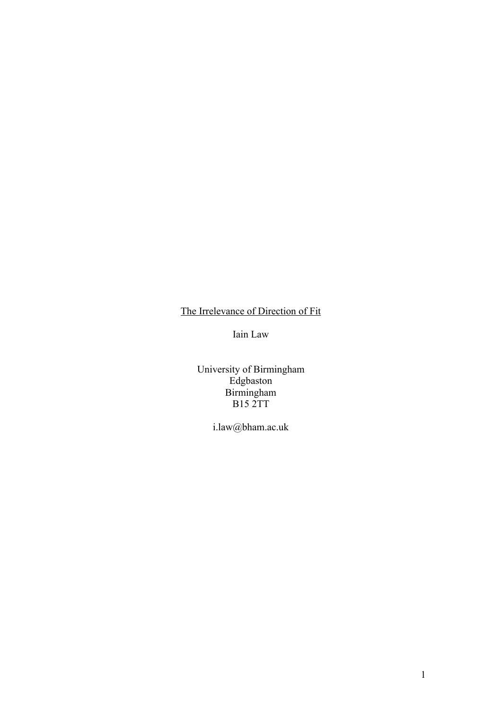### The Irrelevance of Direction of Fit

Iain Law

University of Birmingham Edgbaston Birmingham B15 2TT

i.law@bham.ac.uk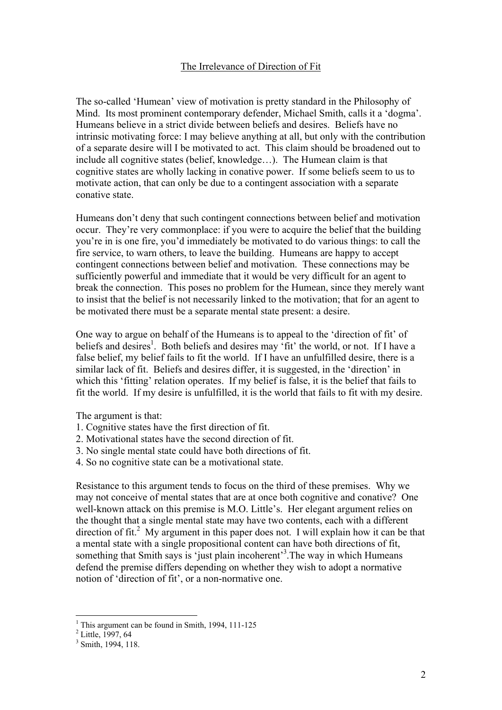#### The Irrelevance of Direction of Fit

The so-called 'Humean' view of motivation is pretty standard in the Philosophy of Mind. Its most prominent contemporary defender, Michael Smith, calls it a 'dogma'. Humeans believe in a strict divide between beliefs and desires. Beliefs have no intrinsic motivating force: I may believe anything at all, but only with the contribution of a separate desire will I be motivated to act. This claim should be broadened out to include all cognitive states (belief, knowledge…). The Humean claim is that cognitive states are wholly lacking in conative power. If some beliefs seem to us to motivate action, that can only be due to a contingent association with a separate conative state.

Humeans don't deny that such contingent connections between belief and motivation occur. They're very commonplace: if you were to acquire the belief that the building you're in is one fire, you'd immediately be motivated to do various things: to call the fire service, to warn others, to leave the building. Humeans are happy to accept contingent connections between belief and motivation. These connections may be sufficiently powerful and immediate that it would be very difficult for an agent to break the connection. This poses no problem for the Humean, since they merely want to insist that the belief is not necessarily linked to the motivation; that for an agent to be motivated there must be a separate mental state present: a desire.

One way to argue on behalf of the Humeans is to appeal to the 'direction of fit' of beliefs and desires<sup>1</sup>. Both beliefs and desires may  $\hat{f}$  fit' the world, or not. If I have a false belief, my belief fails to fit the world. If I have an unfulfilled desire, there is a similar lack of fit. Beliefs and desires differ, it is suggested, in the 'direction' in which this 'fitting' relation operates. If my belief is false, it is the belief that fails to fit the world. If my desire is unfulfilled, it is the world that fails to fit with my desire.

The argument is that:

- 1. Cognitive states have the first direction of fit.
- 2. Motivational states have the second direction of fit.
- 3. No single mental state could have both directions of fit.
- 4. So no cognitive state can be a motivational state.

Resistance to this argument tends to focus on the third of these premises. Why we may not conceive of mental states that are at once both cognitive and conative? One well-known attack on this premise is M.O. Little's. Her elegant argument relies on the thought that a single mental state may have two contents, each with a different direction of fit.<sup>2</sup> My argument in this paper does not. I will explain how it can be that a mental state with a single propositional content can have both directions of fit, something that Smith says is 'just plain incoherent'<sup>3</sup>. The way in which Humeans defend the premise differs depending on whether they wish to adopt a normative notion of 'direction of fit', or a non-normative one.

 $\frac{1}{1}$ <sup>1</sup> This argument can be found in Smith, 1994, 111-125<sup>2</sup> Little, 1997, 64

<sup>&</sup>lt;sup>3</sup> Smith, 1994, 118.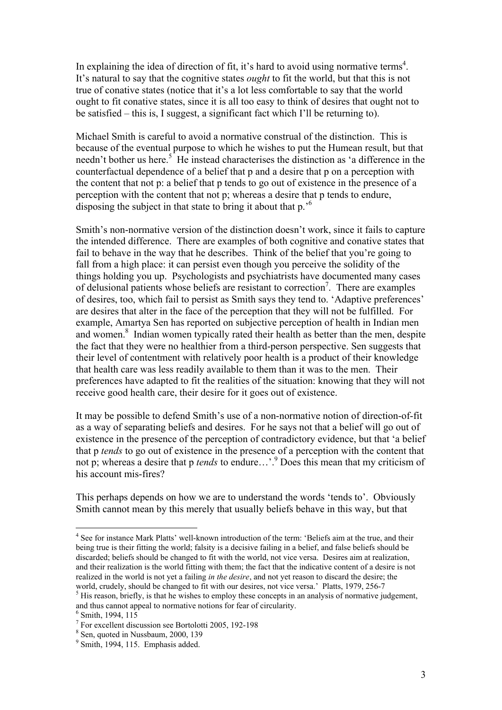In explaining the idea of direction of fit, it's hard to avoid using normative terms<sup>4</sup>. It's natural to say that the cognitive states *ought* to fit the world, but that this is not true of conative states (notice that it's a lot less comfortable to say that the world ought to fit conative states, since it is all too easy to think of desires that ought not to be satisfied – this is, I suggest, a significant fact which I'll be returning to).

Michael Smith is careful to avoid a normative construal of the distinction. This is because of the eventual purpose to which he wishes to put the Humean result, but that needn't bother us here.<sup>5</sup> He instead characterises the distinction as 'a difference in the counterfactual dependence of a belief that p and a desire that p on a perception with the content that not p: a belief that p tends to go out of existence in the presence of a perception with the content that not p; whereas a desire that p tends to endure, disposing the subject in that state to bring it about that p.<sup>56</sup>

Smith's non-normative version of the distinction doesn't work, since it fails to capture the intended difference. There are examples of both cognitive and conative states that fail to behave in the way that he describes. Think of the belief that you're going to fall from a high place: it can persist even though you perceive the solidity of the things holding you up. Psychologists and psychiatrists have documented many cases of delusional patients whose beliefs are resistant to correction<sup>7</sup>. There are examples of desires, too, which fail to persist as Smith says they tend to. 'Adaptive preferences' are desires that alter in the face of the perception that they will not be fulfilled. For example, Amartya Sen has reported on subjective perception of health in Indian men and women.<sup>8</sup> Indian women typically rated their health as better than the men, despite the fact that they were no healthier from a third-person perspective. Sen suggests that their level of contentment with relatively poor health is a product of their knowledge that health care was less readily available to them than it was to the men. Their preferences have adapted to fit the realities of the situation: knowing that they will not receive good health care, their desire for it goes out of existence.

It may be possible to defend Smith's use of a non-normative notion of direction-of-fit as a way of separating beliefs and desires. For he says not that a belief will go out of existence in the presence of the perception of contradictory evidence, but that 'a belief that p *tends* to go out of existence in the presence of a perception with the content that not p; whereas a desire that p *tends* to endure…'.9 Does this mean that my criticism of his account mis-fires?

This perhaps depends on how we are to understand the words 'tends to'. Obviously Smith cannot mean by this merely that usually beliefs behave in this way, but that

 $\frac{1}{4}$ <sup>4</sup> See for instance Mark Platts' well-known introduction of the term: 'Beliefs aim at the true, and their being true is their fitting the world; falsity is a decisive failing in a belief, and false beliefs should be discarded; beliefs should be changed to fit with the world, not vice versa. Desires aim at realization, and their realization is the world fitting with them; the fact that the indicative content of a desire is not realized in the world is not yet a failing *in the desire*, and not yet reason to discard the desire; the world, crudely, should be changed to fit with our desires, not vice versa.' Platts, 1979, 256-7

 $<sup>5</sup>$  His reason, briefly, is that he wishes to employ these concepts in an analysis of normative judgement,</sup> and thus cannot appeal to normative notions for fear of circularity.

 $6$  Smith, 1994, 115

<sup>7</sup> For excellent discussion see Bortolotti 2005, 192-198

<sup>8</sup> Sen, quoted in Nussbaum, 2000, 139

<sup>&</sup>lt;sup>9</sup> Smith, 1994, 115. Emphasis added.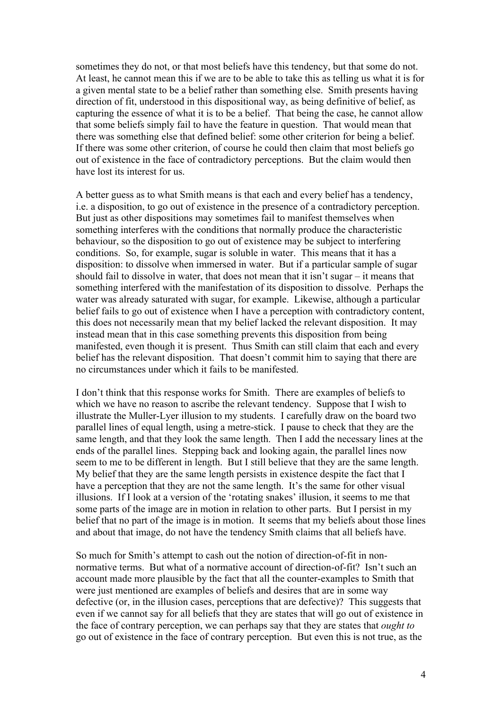sometimes they do not, or that most beliefs have this tendency, but that some do not. At least, he cannot mean this if we are to be able to take this as telling us what it is for a given mental state to be a belief rather than something else. Smith presents having direction of fit, understood in this dispositional way, as being definitive of belief, as capturing the essence of what it is to be a belief. That being the case, he cannot allow that some beliefs simply fail to have the feature in question. That would mean that there was something else that defined belief: some other criterion for being a belief. If there was some other criterion, of course he could then claim that most beliefs go out of existence in the face of contradictory perceptions. But the claim would then have lost its interest for us.

A better guess as to what Smith means is that each and every belief has a tendency, i.e. a disposition, to go out of existence in the presence of a contradictory perception. But just as other dispositions may sometimes fail to manifest themselves when something interferes with the conditions that normally produce the characteristic behaviour, so the disposition to go out of existence may be subject to interfering conditions. So, for example, sugar is soluble in water. This means that it has a disposition: to dissolve when immersed in water. But if a particular sample of sugar should fail to dissolve in water, that does not mean that it isn't sugar – it means that something interfered with the manifestation of its disposition to dissolve. Perhaps the water was already saturated with sugar, for example. Likewise, although a particular belief fails to go out of existence when I have a perception with contradictory content, this does not necessarily mean that my belief lacked the relevant disposition. It may instead mean that in this case something prevents this disposition from being manifested, even though it is present. Thus Smith can still claim that each and every belief has the relevant disposition. That doesn't commit him to saying that there are no circumstances under which it fails to be manifested.

I don't think that this response works for Smith. There are examples of beliefs to which we have no reason to ascribe the relevant tendency. Suppose that I wish to illustrate the Muller-Lyer illusion to my students. I carefully draw on the board two parallel lines of equal length, using a metre-stick. I pause to check that they are the same length, and that they look the same length. Then I add the necessary lines at the ends of the parallel lines. Stepping back and looking again, the parallel lines now seem to me to be different in length. But I still believe that they are the same length. My belief that they are the same length persists in existence despite the fact that I have a perception that they are not the same length. It's the same for other visual illusions. If I look at a version of the 'rotating snakes' illusion, it seems to me that some parts of the image are in motion in relation to other parts. But I persist in my belief that no part of the image is in motion. It seems that my beliefs about those lines and about that image, do not have the tendency Smith claims that all beliefs have.

So much for Smith's attempt to cash out the notion of direction-of-fit in nonnormative terms. But what of a normative account of direction-of-fit? Isn't such an account made more plausible by the fact that all the counter-examples to Smith that were just mentioned are examples of beliefs and desires that are in some way defective (or, in the illusion cases, perceptions that are defective)? This suggests that even if we cannot say for all beliefs that they are states that will go out of existence in the face of contrary perception, we can perhaps say that they are states that *ought to* go out of existence in the face of contrary perception. But even this is not true, as the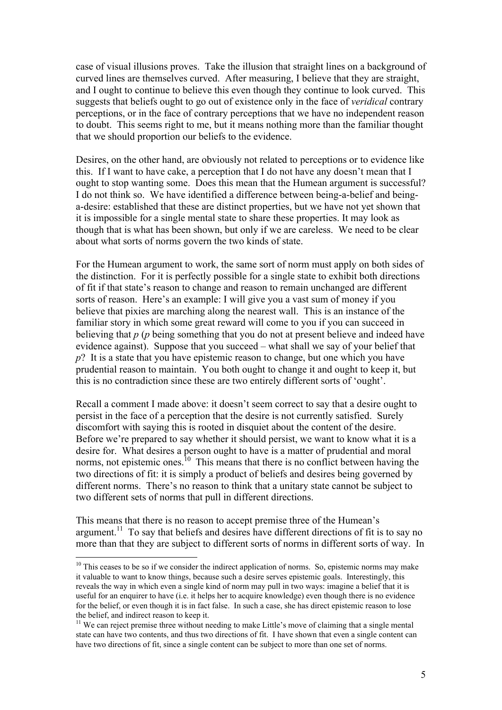case of visual illusions proves. Take the illusion that straight lines on a background of curved lines are themselves curved. After measuring, I believe that they are straight, and I ought to continue to believe this even though they continue to look curved. This suggests that beliefs ought to go out of existence only in the face of *veridical* contrary perceptions, or in the face of contrary perceptions that we have no independent reason to doubt. This seems right to me, but it means nothing more than the familiar thought that we should proportion our beliefs to the evidence.

Desires, on the other hand, are obviously not related to perceptions or to evidence like this. If I want to have cake, a perception that I do not have any doesn't mean that I ought to stop wanting some. Does this mean that the Humean argument is successful? I do not think so. We have identified a difference between being-a-belief and beinga-desire: established that these are distinct properties, but we have not yet shown that it is impossible for a single mental state to share these properties. It may look as though that is what has been shown, but only if we are careless. We need to be clear about what sorts of norms govern the two kinds of state.

For the Humean argument to work, the same sort of norm must apply on both sides of the distinction. For it is perfectly possible for a single state to exhibit both directions of fit if that state's reason to change and reason to remain unchanged are different sorts of reason. Here's an example: I will give you a vast sum of money if you believe that pixies are marching along the nearest wall. This is an instance of the familiar story in which some great reward will come to you if you can succeed in believing that *p* (*p* being something that you do not at present believe and indeed have evidence against). Suppose that you succeed – what shall we say of your belief that *p*? It is a state that you have epistemic reason to change, but one which you have prudential reason to maintain. You both ought to change it and ought to keep it, but this is no contradiction since these are two entirely different sorts of 'ought'.

Recall a comment I made above: it doesn't seem correct to say that a desire ought to persist in the face of a perception that the desire is not currently satisfied. Surely discomfort with saying this is rooted in disquiet about the content of the desire. Before we're prepared to say whether it should persist, we want to know what it is a desire for. What desires a person ought to have is a matter of prudential and moral norms, not epistemic ones.<sup>10</sup> This means that there is no conflict between having the two directions of fit: it is simply a product of beliefs and desires being governed by different norms. There's no reason to think that a unitary state cannot be subject to two different sets of norms that pull in different directions.

This means that there is no reason to accept premise three of the Humean's argument.<sup>11</sup> To say that beliefs and desires have different directions of fit is to say no more than that they are subject to different sorts of norms in different sorts of way. In

<sup>&</sup>lt;sup>10</sup> This ceases to be so if we consider the indirect application of norms. So, epistemic norms may make it valuable to want to know things, because such a desire serves epistemic goals. Interestingly, this reveals the way in which even a single kind of norm may pull in two ways: imagine a belief that it is useful for an enquirer to have (i.e. it helps her to acquire knowledge) even though there is no evidence for the belief, or even though it is in fact false. In such a case, she has direct epistemic reason to lose the belief, and indirect reason to keep it.

<sup>&</sup>lt;sup>11</sup> We can reject premise three without needing to make Little's move of claiming that a single mental state can have two contents, and thus two directions of fit. I have shown that even a single content can have two directions of fit, since a single content can be subject to more than one set of norms.